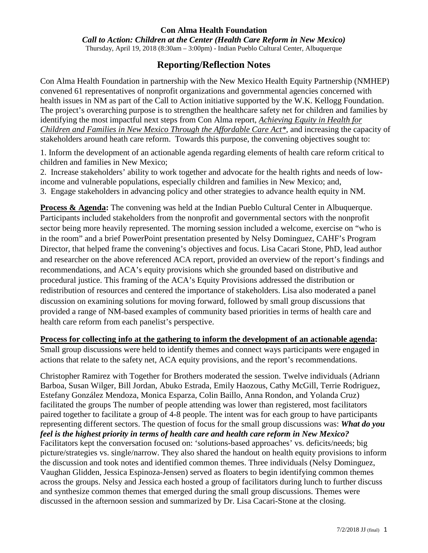#### **Con Alma Health Foundation**

*Call to Action: Children at the Center (Health Care Reform in New Mexico)*

Thursday, April 19, 2018 (8:30am – 3:00pm) - Indian Pueblo Cultural Center, Albuquerque

# **Reporting/Reflection Notes**

Con Alma Health Foundation in partnership with the New Mexico Health Equity Partnership (NMHEP) convened 61 representatives of nonprofit organizations and governmental agencies concerned with health issues in NM as part of the Call to Action initiative supported by the W.K. Kellogg Foundation. The project's overarching purpose is to strengthen the healthcare safety net for children and families by identifying the most impactful next steps from Con Alma report, *[Achieving Equity in Health for](https://conalma.org/beyond-grantmaking/health-care-reform/)  [Children and Families in New Mexico Through the Affordable Care Act\\*](https://conalma.org/beyond-grantmaking/health-care-reform/),* and increasing the capacity of stakeholders around heath care reform. Towards this purpose, the convening objectives sought to:

1. Inform the development of an actionable agenda regarding elements of health care reform critical to children and families in New Mexico;

2. Increase stakeholders' ability to work together and advocate for the health rights and needs of lowincome and vulnerable populations, especially children and families in New Mexico; and,

3. Engage stakeholders in advancing policy and other strategies to advance health equity in NM.

**Process & Agenda:** The convening was held at the Indian Pueblo Cultural Center in Albuquerque. Participants included stakeholders from the nonprofit and governmental sectors with the nonprofit sector being more heavily represented. The morning session included a welcome, exercise on "who is in the room" and a brief PowerPoint presentation presented by Nelsy Dominguez, CAHF's Program Director, that helped frame the convening's objectives and focus. Lisa Cacari Stone, PhD, lead author and researcher on the above referenced ACA report, provided an overview of the report's findings and recommendations, and ACA's equity provisions which she grounded based on distributive and procedural justice. This framing of the ACA's Equity Provisions addressed the distribution or redistribution of resources and centered the importance of stakeholders. Lisa also moderated a panel discussion on examining solutions for moving forward, followed by small group discussions that provided a range of NM-based examples of community based priorities in terms of health care and health care reform from each panelist's perspective.

#### **Process for collecting info at the gathering to inform the development of an actionable agenda:**

Small group discussions were held to identify themes and connect ways participants were engaged in actions that relate to the safety net, ACA equity provisions, and the report's recommendations.

Christopher Ramirez with Together for Brothers moderated the session. Twelve individuals (Adriann Barboa, Susan Wilger, Bill Jordan, Abuko Estrada, Emily Haozous, Cathy McGill, Terrie Rodriguez, Estefany González Mendoza, Monica Esparza, Colin Baillo, Anna Rondon, and Yolanda Cruz) facilitated the groups The number of people attending was lower than registered, most facilitators paired together to facilitate a group of 4-8 people. The intent was for each group to have participants representing different sectors. The question of focus for the small group discussions was: *What do you feel is the highest priority in terms of health care and health care reform in New Mexico?* Facilitators kept the conversation focused on: 'solutions-based approaches' vs. deficits/needs; big picture/strategies vs. single/narrow. They also shared the handout on health equity provisions to inform the discussion and took notes and identified common themes. Three individuals (Nelsy Dominguez, Vaughan Glidden, Jessica Espinoza-Jensen) served as floaters to begin identifying common themes across the groups. Nelsy and Jessica each hosted a group of facilitators during lunch to further discuss and synthesize common themes that emerged during the small group discussions. Themes were discussed in the afternoon session and summarized by Dr. Lisa Cacari-Stone at the closing.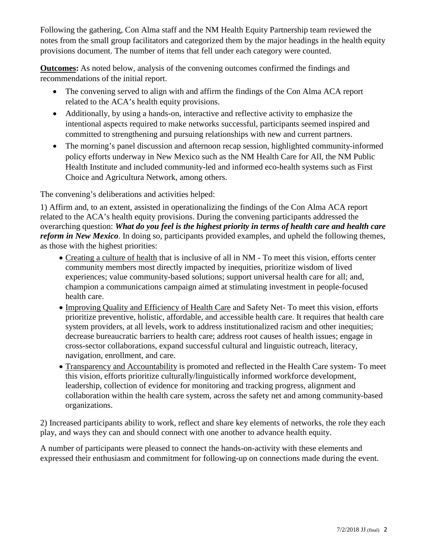Following the gathering, Con Alma staff and the NM Health Equity Partnership team reviewed the notes from the small group facilitators and categorized them by the major headings in the health equity provisions document. The number of items that fell under each category were counted.

**Outcomes:** As noted below, analysis of the convening outcomes confirmed the findings and recommendations of the initial report.

- The convening served to align with and affirm the findings of the Con Alma ACA report related to the ACA's health equity provisions.
- Additionally, by using a hands-on, interactive and reflective activity to emphasize the intentional aspects required to make networks successful, participants seemed inspired and committed to strengthening and pursuing relationships with new and current partners.
- The morning's panel discussion and afternoon recap session, highlighted community-informed policy efforts underway in New Mexico such as the NM Health Care for All, the NM Public Health Institute and included community-led and informed eco-health systems such as First Choice and Agricultura Network, among others.

The convening's deliberations and activities helped:

1) Affirm and, to an extent, assisted in operationalizing the findings of the Con Alma ACA report related to the ACA's health equity provisions. During the convening participants addressed the overarching question: *What do you feel is the highest priority in terms of health care and health care reform in New Mexico*. In doing so, participants provided examples, and upheld the following themes, as those with the highest priorities:

- Creating a culture of health that is inclusive of all in NM To meet this vision, efforts center community members most directly impacted by inequities, prioritize wisdom of lived experiences; value community-based solutions; support universal health care for all; and, champion a communications campaign aimed at stimulating investment in people-focused health care.
- Improving Quality and Efficiency of Health Care and Safety Net- To meet this vision, efforts prioritize preventive, holistic, affordable, and accessible health care. It requires that health care system providers, at all levels, work to address institutionalized racism and other inequities; decrease bureaucratic barriers to health care; address root causes of health issues; engage in cross-sector collaborations, expand successful cultural and linguistic outreach, literacy, navigation, enrollment, and care.
- Transparency and Accountability is promoted and reflected in the Health Care system- To meet this vision, efforts prioritize culturally/linguistically informed workforce development, leadership, collection of evidence for monitoring and tracking progress, alignment and collaboration within the health care system, across the safety net and among community-based organizations.

2) Increased participants ability to work, reflect and share key elements of networks, the role they each play, and ways they can and should connect with one another to advance health equity.

A number of participants were pleased to connect the hands-on-activity with these elements and expressed their enthusiasm and commitment for following-up on connections made during the event.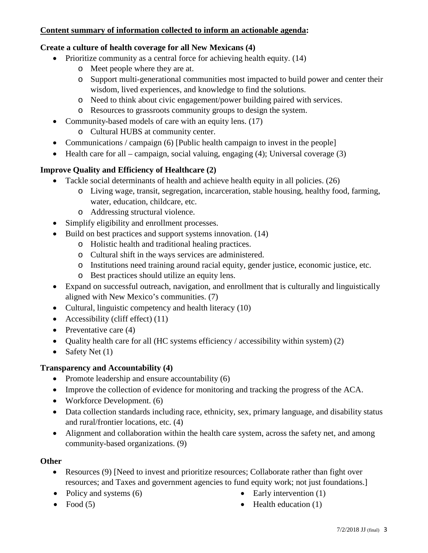## **Content summary of information collected to inform an actionable agenda:**

## **Create a culture of health coverage for all New Mexicans (4)**

- Prioritize community as a central force for achieving health equity. (14)
	- o Meet people where they are at.
	- o Support multi-generational communities most impacted to build power and center their wisdom, lived experiences, and knowledge to find the solutions.
	- o Need to think about civic engagement/power building paired with services.
	- o Resources to grassroots community groups to design the system.
- Community-based models of care with an equity lens. (17)
	- o Cultural HUBS at community center.
- Communications / campaign (6) [Public health campaign to invest in the people]
- Health care for all campaign, social valuing, engaging (4); Universal coverage (3)

# **Improve Quality and Efficiency of Healthcare (2)**

- Tackle social determinants of health and achieve health equity in all policies. (26)
	- o Living wage, transit, segregation, incarceration, stable housing, healthy food, farming, water, education, childcare, etc.
	- o Addressing structural violence.
- Simplify eligibility and enrollment processes.
- Build on best practices and support systems innovation. (14)
	- o Holistic health and traditional healing practices.
	- o Cultural shift in the ways services are administered.
	- o Institutions need training around racial equity, gender justice, economic justice, etc.
	- o Best practices should utilize an equity lens.
- Expand on successful outreach, navigation, and enrollment that is culturally and linguistically aligned with New Mexico's communities. (7)
- Cultural, linguistic competency and health literacy (10)
- Accessibility (cliff effect)  $(11)$
- Preventative care  $(4)$
- Quality health care for all (HC systems efficiency / accessibility within system) (2)
- Safety Net  $(1)$

# **Transparency and Accountability (4)**

- Promote leadership and ensure accountability (6)
- Improve the collection of evidence for monitoring and tracking the progress of the ACA.
- Workforce Development. (6)
- Data collection standards including race, ethnicity, sex, primary language, and disability status and rural/frontier locations, etc. (4)
- Alignment and collaboration within the health care system, across the safety net, and among community-based organizations. (9)

# **Other**

- Resources (9) [Need to invest and prioritize resources; Collaborate rather than fight over resources; and Taxes and government agencies to fund equity work; not just foundations.]
- Policy and systems  $(6)$

• Early intervention  $(1)$ 

• Food  $(5)$ 

 $\bullet$  Health education (1)